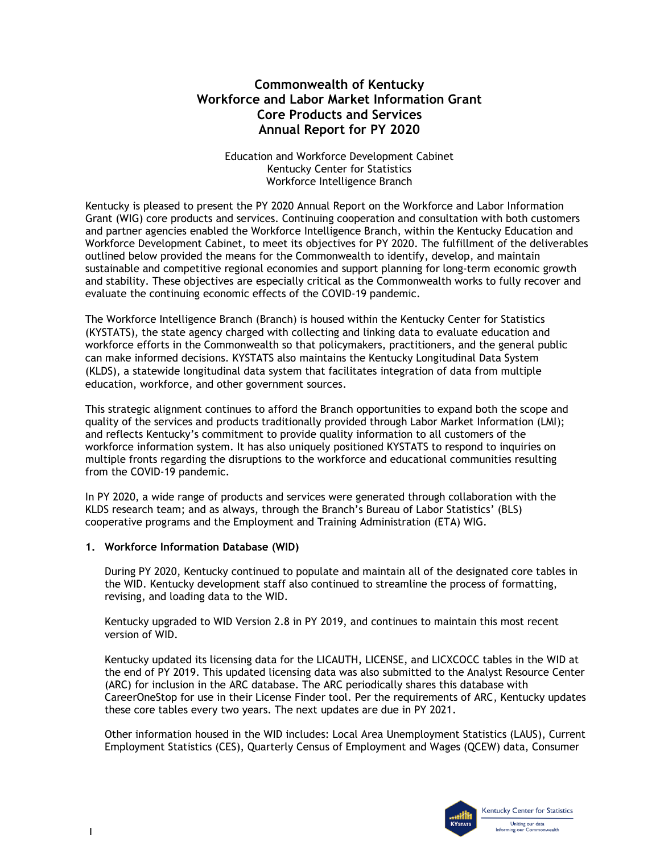# **Commonwealth of Kentucky Workforce and Labor Market Information Grant Core Products and Services Annual Report for PY 2020**

Education and Workforce Development Cabinet Kentucky Center for Statistics Workforce Intelligence Branch

 and partner agencies enabled the Workforce Intelligence Branch, within the Kentucky Education and Workforce Development Cabinet, to meet its objectives for PY 2020. The fulfillment of the deliverables outlined below provided the means for the Commonwealth to identify, develop, and maintain Kentucky is pleased to present the PY 2020 Annual Report on the Workforce and Labor Information Grant (WIG) core products and services. Continuing cooperation and consultation with both customers sustainable and competitive regional economies and support planning for long-term economic growth and stability. These objectives are especially critical as the Commonwealth works to fully recover and evaluate the continuing economic effects of the COVID-19 pandemic.

 The Workforce Intelligence Branch (Branch) is housed within the Kentucky Center for Statistics (KYSTATS), the state agency charged with collecting and linking data to evaluate education and workforce efforts in the Commonwealth so that policymakers, practitioners, and the general public can make informed decisions. KYSTATS also maintains the Kentucky Longitudinal Data System (KLDS), a statewide longitudinal data system that facilitates integration of data from multiple education, workforce, and other government sources.

 from the COVID-19 pandemic. This strategic alignment continues to afford the Branch opportunities to expand both the scope and quality of the services and products traditionally provided through Labor Market Information (LMI); and reflects Kentucky's commitment to provide quality information to all customers of the workforce information system. It has also uniquely positioned KYSTATS to respond to inquiries on multiple fronts regarding the disruptions to the workforce and educational communities resulting

 KLDS research team; and as always, through the Branch's Bureau of Labor Statistics' (BLS) cooperative programs and the Employment and Training Administration (ETA) WIG. In PY 2020, a wide range of products and services were generated through collaboration with the

## **1. Workforce Information Database (WID)**

 During PY 2020, Kentucky continued to populate and maintain all of the designated core tables in the WID. Kentucky development staff also continued to streamline the process of formatting, revising, and loading data to the WID.

 Kentucky upgraded to WID Version 2.8 in PY 2019, and continues to maintain this most recent version of WID.

 these core tables every two years. The next updates are due in PY 2021. Kentucky updated its licensing data for the LICAUTH, LICENSE, and LICXCOCC tables in the WID at the end of PY 2019. This updated licensing data was also submitted to the Analyst Resource Center (ARC) for inclusion in the ARC database. The ARC periodically shares this database with CareerOneStop for use in their License Finder tool. Per the requirements of ARC, Kentucky updates

 Other information housed in the WID includes: Local Area Unemployment Statistics (LAUS), Current Employment Statistics (CES), Quarterly Census of Employment and Wages (QCEW) data, Consumer

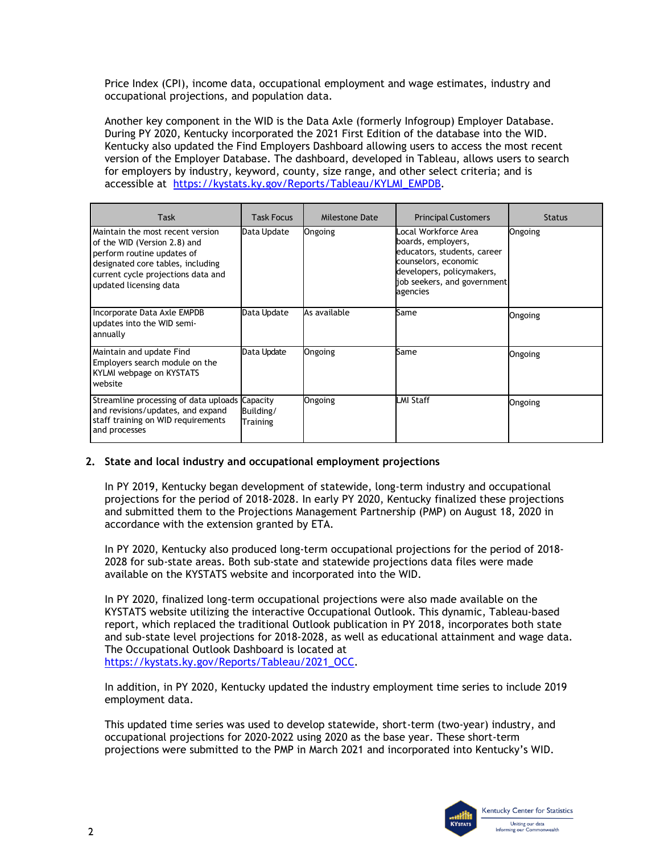Price Index (CPI), income data, occupational employment and wage estimates, industry and occupational projections, and population data.

 During PY 2020, Kentucky incorporated the 2021 First Edition of the database into the WID. version of the Employer Database. The dashboard, developed in Tableau, allows users to search for employers by industry, keyword, county, size range, and other select criteria; and is Another key component in the WID is the Data Axle (formerly Infogroup) Employer Database. Kentucky also updated the Find Employers Dashboard allowing users to access the most recent

| accessible at https://kystats.ky.gov/Reports/Tableau/KYLMI_EMPDB.                                                                                                                                   |                       |                |                                                                                                                                                                           |               |  |
|-----------------------------------------------------------------------------------------------------------------------------------------------------------------------------------------------------|-----------------------|----------------|---------------------------------------------------------------------------------------------------------------------------------------------------------------------------|---------------|--|
| <b>Task</b>                                                                                                                                                                                         | <b>Task Focus</b>     | Milestone Date | <b>Principal Customers</b>                                                                                                                                                | <b>Status</b> |  |
| Maintain the most recent version<br>of the WID (Version 2.8) and<br>perform routine updates of<br>designated core tables, including<br>current cycle projections data and<br>updated licensing data | Data Update           | Ongoing        | Local Workforce Area<br>boards, employers,<br>educators, students, career<br>counselors, economic<br>developers, policymakers,<br>job seekers, and government<br>agencies | Ongoing       |  |
| Incorporate Data Axle EMPDB<br>updates into the WID semi-<br>annually                                                                                                                               | Data Update           | As available   | Same                                                                                                                                                                      | Ongoing       |  |
| Maintain and update Find<br>Employers search module on the<br>KYLMI webpage on KYSTATS<br>website                                                                                                   | Data Update           | Ongoing        | Same                                                                                                                                                                      | Ongoing       |  |
| Streamline processing of data uploads Capacity<br>and revisions/updates, and expand<br>staff training on WID requirements<br>and processes                                                          | Building/<br>Training | Ongoing        | LMI Staff                                                                                                                                                                 | Ongoing       |  |

## **2. State and local industry and occupational employment projections**

 In PY 2019, Kentucky began development of statewide, long-term industry and occupational projections for the period of 2018-2028. In early PY 2020, Kentucky finalized these projections and submitted them to the Projections Management Partnership (PMP) on August 18, 2020 in accordance with the extension granted by ETA.

In PY 2020, Kentucky also produced long-term occupational projections for the period of 2018- 2028 for sub-state areas. Both sub-state and statewide projections data files were made available on the KYSTATS website and incorporated into the WID.

In PY 2020, finalized long-term occupational projections were also made available on the KYSTATS website utilizing the interactive Occupational Outlook. This dynamic, Tableau-based report, which replaced the traditional Outlook publication in PY 2018, incorporates both state and sub-state level projections for 2018-2028, as well as educational attainment and wage data. The Occupational Outlook Dashboard is located at [https://kystats.ky.gov/Reports/Tableau/2021\\_OCC.](https://kystats.ky.gov/Reports/Tableau/2021_OCC)

employment data. In addition, in PY 2020, Kentucky updated the industry employment time series to include 2019

 occupational projections for 2020-2022 using 2020 as the base year. These short-term projections were submitted to the PMP in March 2021 and incorporated into Kentucky's WID. This updated time series was used to develop statewide, short-term (two-year) industry, and

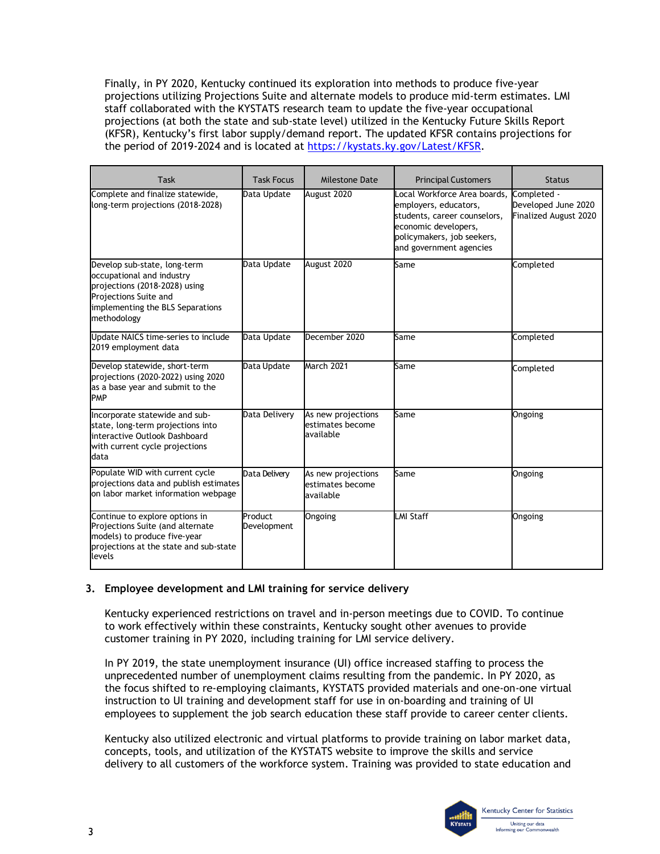Finally, in PY 2020, Kentucky continued its exploration into methods to produce five-year projections utilizing Projections Suite and alternate models to produce mid-term estimates. LMI staff collaborated with the KYSTATS research team to update the five-year occupational projections (at both the state and sub-state level) utilized in the Kentucky Future Skills Report (KFSR), Kentucky's first labor supply/demand report. The updated KFSR contains projections for the period of 2019-2024 and is located at [https://kystats.ky.gov/Latest/KFSR.](https://kystats.ky.gov/Latest/KFSR)

| Task                                                                                                                                                                   | <b>Task Focus</b>      | Milestone Date                                      | <b>Principal Customers</b>                                                                                                                                             | <b>Status</b>                                                      |
|------------------------------------------------------------------------------------------------------------------------------------------------------------------------|------------------------|-----------------------------------------------------|------------------------------------------------------------------------------------------------------------------------------------------------------------------------|--------------------------------------------------------------------|
| Complete and finalize statewide,<br>long-term projections (2018-2028)                                                                                                  | Data Update            | August 2020                                         | Local Workforce Area boards,<br>employers, educators,<br>students, career counselors,<br>economic developers,<br>policymakers, job seekers,<br>and government agencies | Completed -<br>Developed June 2020<br><b>Finalized August 2020</b> |
| Develop sub-state, long-term<br>occupational and industry<br>projections (2018-2028) using<br>Projections Suite and<br>implementing the BLS Separations<br>methodology | Data Update            | August 2020                                         | Same                                                                                                                                                                   | Completed                                                          |
| Update NAICS time-series to include<br>2019 employment data                                                                                                            | Data Update            | December 2020                                       | Same                                                                                                                                                                   | Completed                                                          |
| Develop statewide, short-term<br>projections (2020-2022) using 2020<br>as a base year and submit to the<br><b>PMP</b>                                                  | Data Update            | March 2021                                          | Same                                                                                                                                                                   | Completed                                                          |
| Incorporate statewide and sub-<br>state, long-term projections into<br>interactive Outlook Dashboard<br>with current cycle projections<br>data                         | Data Delivery          | As new projections<br>estimates become<br>available | Same                                                                                                                                                                   | Ongoing                                                            |
| Populate WID with current cycle<br>projections data and publish estimates<br>on labor market information webpage                                                       | Data Delivery          | As new projections<br>estimates become<br>available | Same                                                                                                                                                                   | Ongoing                                                            |
| Continue to explore options in<br>Projections Suite (and alternate<br>models) to produce five-year<br>projections at the state and sub-state<br>levels                 | Product<br>Development | Ongoing                                             | LMI Staff                                                                                                                                                              | Ongoing                                                            |

## **3. Employee development and LMI training for service delivery**

 Kentucky experienced restrictions on travel and in-person meetings due to COVID. To continue to work effectively within these constraints, Kentucky sought other avenues to provide customer training in PY 2020, including training for LMI service delivery.

 instruction to UI training and development staff for use in on-boarding and training of UI In PY 2019, the state unemployment insurance (UI) office increased staffing to process the unprecedented number of unemployment claims resulting from the pandemic. In PY 2020, as the focus shifted to re-employing claimants, KYSTATS provided materials and one-on-one virtual employees to supplement the job search education these staff provide to career center clients.

 delivery to all customers of the workforce system. Training was provided to state education and Kentucky also utilized electronic and virtual platforms to provide training on labor market data, concepts, tools, and utilization of the KYSTATS website to improve the skills and service

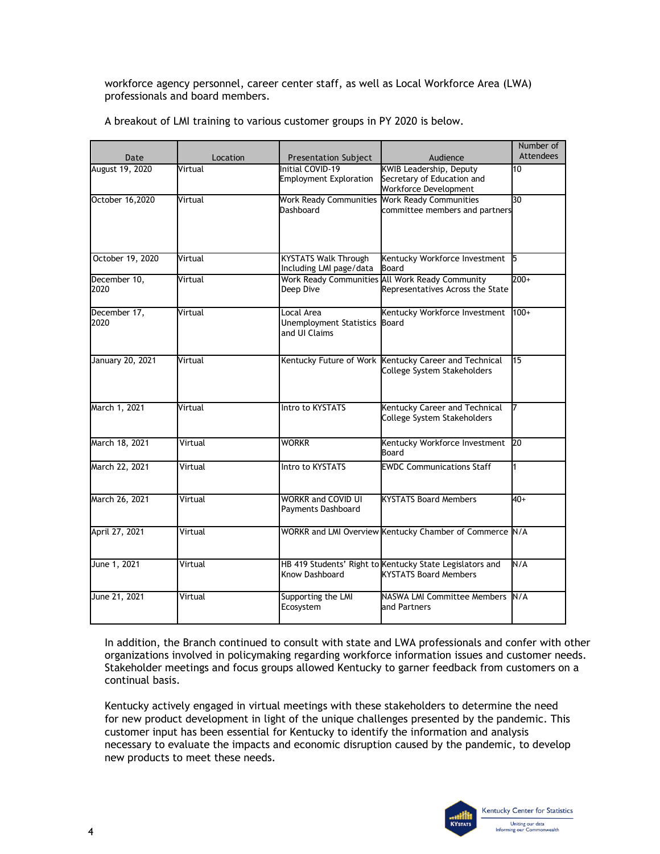professionals and board members. workforce agency personnel, career center staff, as well as Local Workforce Area (LWA)

|  |  | A breakout of LMI training to various customer groups in PY 2020 is below. |
|--|--|----------------------------------------------------------------------------|
|--|--|----------------------------------------------------------------------------|

| Date                 | Location | Presentation Subject                                         | Audience                                                                                 | Number of<br><b>Attendees</b> |
|----------------------|----------|--------------------------------------------------------------|------------------------------------------------------------------------------------------|-------------------------------|
| August 19, 2020      | Virtual  | Initial COVID-19<br><b>Employment Exploration</b>            | <b>KWIB Leadership, Deputy</b><br>Secretary of Education and<br>Workforce Development    | 10                            |
| October 16,2020      | Virtual  | Work Ready Communities Work Ready Communities<br>Dashboard   | committee members and partners                                                           | 30                            |
| October 19, 2020     | Virtual  | <b>KYSTATS Walk Through</b><br>Including LMI page/data       | Kentucky Workforce Investment<br>Board                                                   | 15                            |
| December 10,<br>2020 | Virtual  | Deep Dive                                                    | Work Ready Communities All Work Ready Community<br>Representatives Across the State      | $200+$                        |
| December 17,<br>2020 | Virtual  | Local Area<br>Unemployment Statistics Board<br>and UI Claims | Kentucky Workforce Investment                                                            | $100+$                        |
| January 20, 2021     | Virtual  |                                                              | Kentucky Future of Work Kentucky Career and Technical<br>College System Stakeholders     | 15                            |
| March 1, 2021        | Virtual  | Intro to KYSTATS                                             | Kentucky Career and Technical<br>College System Stakeholders                             |                               |
| March 18, 2021       | Virtual  | <b>WORKR</b>                                                 | Kentucky Workforce Investment<br>Board                                                   | <b>20</b>                     |
| March 22, 2021       | Virtual  | Intro to KYSTATS                                             | <b>EWDC Communications Staff</b>                                                         | 1                             |
| March 26, 2021       | Virtual  | <b>WORKR and COVID UI</b><br>Payments Dashboard              | <b>KYSTATS Board Members</b>                                                             | $40+$                         |
| April 27, 2021       | Virtual  |                                                              | WORKR and LMI Overview Kentucky Chamber of Commerce N/A                                  |                               |
| June 1, 2021         | Virtual  | Know Dashboard                                               | HB 419 Students' Right to Kentucky State Legislators and<br><b>KYSTATS Board Members</b> | N/A                           |
| June 21, 2021        | Virtual  | Supporting the LMI<br>Ecosystem                              | NASWA LMI Committee Members N/A<br>and Partners                                          |                               |

 In addition, the Branch continued to consult with state and LWA professionals and confer with other organizations involved in policymaking regarding workforce information issues and customer needs. Stakeholder meetings and focus groups allowed Kentucky to garner feedback from customers on a continual basis.

Kentucky actively engaged in virtual meetings with these stakeholders to determine the need for new product development in light of the unique challenges presented by the pandemic. This customer input has been essential for Kentucky to identify the information and analysis necessary to evaluate the impacts and economic disruption caused by the pandemic, to develop new products to meet these needs.

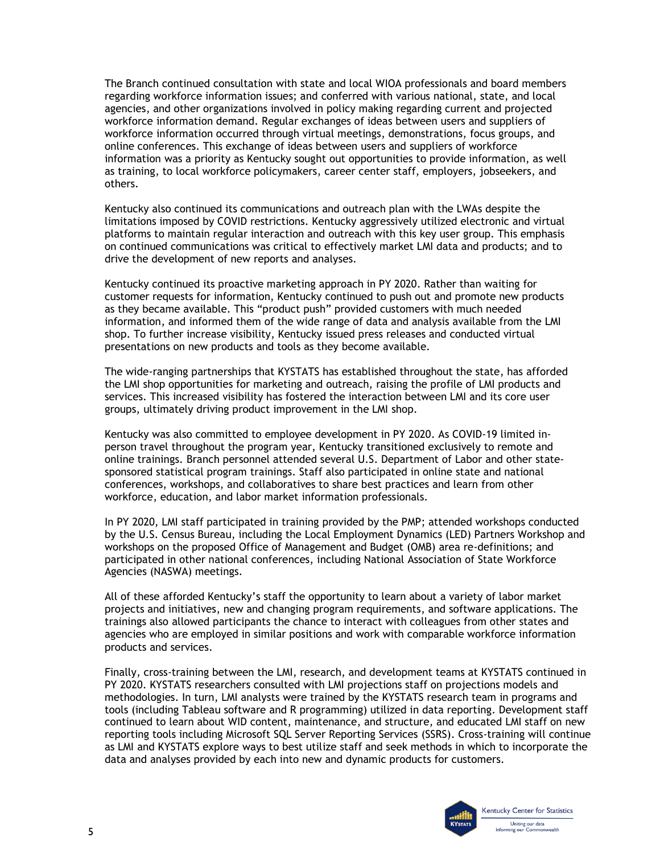regarding workforce information issues; and conferred with various national, state, and local workforce information occurred through virtual meetings, demonstrations, focus groups, and online conferences. This exchange of ideas between users and suppliers of workforce The Branch continued consultation with state and local WIOA professionals and board members agencies, and other organizations involved in policy making regarding current and projected workforce information demand. Regular exchanges of ideas between users and suppliers of information was a priority as Kentucky sought out opportunities to provide information, as well as training, to local workforce policymakers, career center staff, employers, jobseekers, and others.

 on continued communications was critical to effectively market LMI data and products; and to Kentucky also continued its communications and outreach plan with the LWAs despite the limitations imposed by COVID restrictions. Kentucky aggressively utilized electronic and virtual platforms to maintain regular interaction and outreach with this key user group. This emphasis drive the development of new reports and analyses.

 Kentucky continued its proactive marketing approach in PY 2020. Rather than waiting for shop. To further increase visibility, Kentucky issued press releases and conducted virtual customer requests for information, Kentucky continued to push out and promote new products as they became available. This "product push" provided customers with much needed information, and informed them of the wide range of data and analysis available from the LMI presentations on new products and tools as they become available.

The wide-ranging partnerships that KYSTATS has established throughout the state, has afforded the LMI shop opportunities for marketing and outreach, raising the profile of LMI products and services. This increased visibility has fostered the interaction between LMI and its core user groups, ultimately driving product improvement in the LMI shop.

 online trainings. Branch personnel attended several U.S. Department of Labor and other state- conferences, workshops, and collaboratives to share best practices and learn from other Kentucky was also committed to employee development in PY 2020. As COVID-19 limited inperson travel throughout the program year, Kentucky transitioned exclusively to remote and sponsored statistical program trainings. Staff also participated in online state and national workforce, education, and labor market information professionals.

 workshops on the proposed Office of Management and Budget (OMB) area re-definitions; and participated in other national conferences, including National Association of State Workforce Agencies (NASWA) meetings. In PY 2020, LMI staff participated in training provided by the PMP; attended workshops conducted by the U.S. Census Bureau, including the Local Employment Dynamics (LED) Partners Workshop and

 trainings also allowed participants the chance to interact with colleagues from other states and All of these afforded Kentucky's staff the opportunity to learn about a variety of labor market projects and initiatives, new and changing program requirements, and software applications. The agencies who are employed in similar positions and work with comparable workforce information products and services.

 continued to learn about WID content, maintenance, and structure, and educated LMI staff on new Finally, cross-training between the LMI, research, and development teams at KYSTATS continued in PY 2020. KYSTATS researchers consulted with LMI projections staff on projections models and methodologies. In turn, LMI analysts were trained by the KYSTATS research team in programs and tools (including Tableau software and R programming) utilized in data reporting. Development staff reporting tools including Microsoft SQL Server Reporting Services (SSRS). Cross-training will continue as LMI and KYSTATS explore ways to best utilize staff and seek methods in which to incorporate the data and analyses provided by each into new and dynamic products for customers.

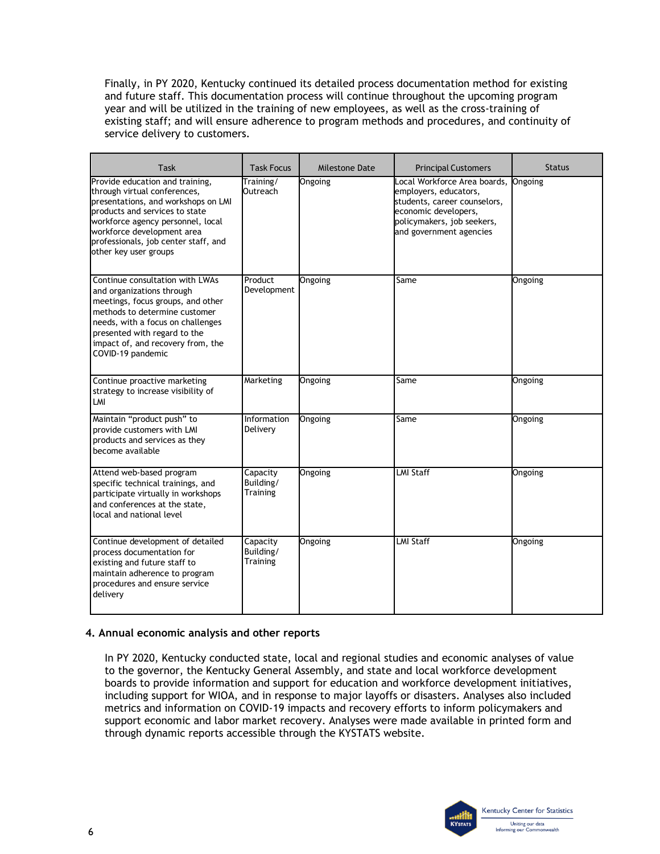Finally, in PY 2020, Kentucky continued its detailed process documentation method for existing and future staff. This documentation process will continue throughout the upcoming program year and will be utilized in the training of new employees, as well as the cross-training of existing staff; and will ensure adherence to program methods and procedures, and continuity of service delivery to customers.

| Task                                                                                                                                                                                                                                                                         | <b>Task Focus</b>                        | <b>Milestone Date</b> | <b>Principal Customers</b>                                                                                                                                             | <b>Status</b> |
|------------------------------------------------------------------------------------------------------------------------------------------------------------------------------------------------------------------------------------------------------------------------------|------------------------------------------|-----------------------|------------------------------------------------------------------------------------------------------------------------------------------------------------------------|---------------|
| Provide education and training,<br>through virtual conferences,<br>presentations, and workshops on LMI<br>products and services to state<br>workforce agency personnel, local<br>workforce development area<br>professionals, job center staff, and<br>other key user groups | Training/<br>Outreach                    | Ongoing               | Local Workforce Area boards,<br>employers, educators,<br>students, career counselors,<br>economic developers,<br>policymakers, job seekers,<br>and government agencies | Ongoing       |
| Continue consultation with LWAs<br>and organizations through<br>meetings, focus groups, and other<br>methods to determine customer<br>needs, with a focus on challenges<br>presented with regard to the<br>impact of, and recovery from, the<br>COVID-19 pandemic            | Product<br>Development                   | Ongoing               | Same                                                                                                                                                                   | Ongoing       |
| Continue proactive marketing<br>strategy to increase visibility of<br>LMI                                                                                                                                                                                                    | Marketing                                | Ongoing               | Same                                                                                                                                                                   | Ongoing       |
| Maintain "product push" to<br>provide customers with LMI<br>products and services as they<br>become available                                                                                                                                                                | Information<br>Delivery                  | Ongoing               | Same                                                                                                                                                                   | Ongoing       |
| Attend web-based program<br>specific technical trainings, and<br>participate virtually in workshops<br>and conferences at the state,<br>local and national level                                                                                                             | Capacity<br>Building/<br>Training        | Ongoing               | LMI Staff                                                                                                                                                              | Ongoing       |
| Continue development of detailed<br>process documentation for<br>existing and future staff to<br>maintain adherence to program<br>procedures and ensure service<br>delivery                                                                                                  | Capacity<br>Building/<br><b>Training</b> | Ongoing               | <b>LMI Staff</b>                                                                                                                                                       | Ongoing       |

## **4. Annual economic analysis and other reports**

In PY 2020, Kentucky conducted state, local and regional studies and economic analyses of value to the governor, the Kentucky General Assembly, and state and local workforce development boards to provide information and support for education and workforce development initiatives, including support for WIOA, and in response to major layoffs or disasters. Analyses also included metrics and information on COVID-19 impacts and recovery efforts to inform policymakers and support economic and labor market recovery. Analyses were made available in printed form and through dynamic reports accessible through the KYSTATS website.

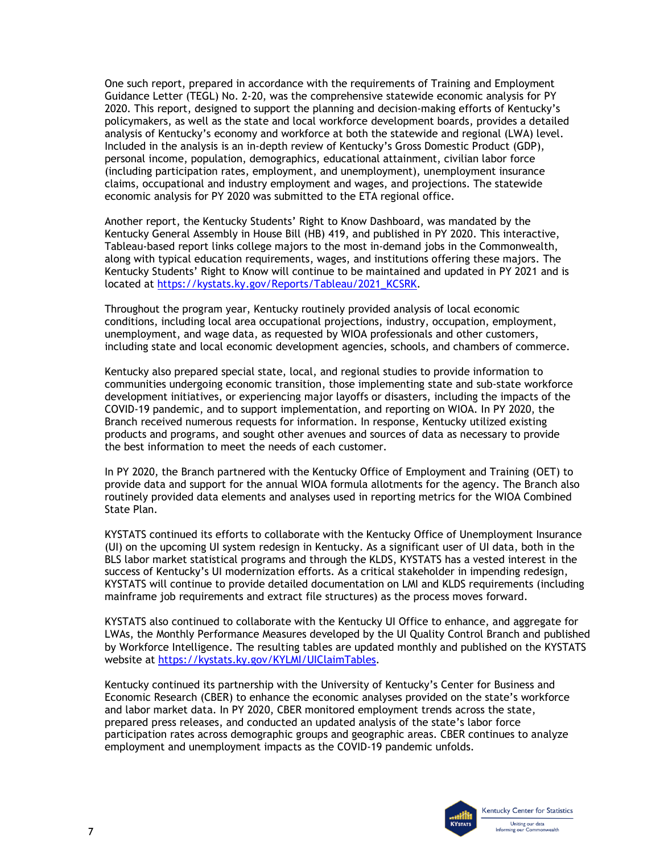One such report, prepared in accordance with the requirements of Training and Employment Guidance Letter (TEGL) No. 2-20, was the comprehensive statewide economic analysis for PY 2020. This report, designed to support the planning and decision-making efforts of Kentucky's policymakers, as well as the state and local workforce development boards, provides a detailed analysis of Kentucky's economy and workforce at both the statewide and regional (LWA) level. Included in the analysis is an in-depth review of Kentucky's Gross Domestic Product (GDP), personal income, population, demographics, educational attainment, civilian labor force (including participation rates, employment, and unemployment), unemployment insurance claims, occupational and industry employment and wages, and projections. The statewide economic analysis for PY 2020 was submitted to the ETA regional office.

Another report, the Kentucky Students' Right to Know Dashboard, was mandated by the Kentucky General Assembly in House Bill (HB) 419, and published in PY 2020. This interactive, Tableau-based report links college majors to the most in-demand jobs in the Commonwealth, along with typical education requirements, wages, and institutions offering these majors. The Kentucky Students' Right to Know will continue to be maintained and updated in PY 2021 and is located at [https://kystats.ky.gov/Reports/Tableau/2021\\_KCSRK.](https://kystats.ky.gov/Reports/Tableau/2021_KCSRK)

Throughout the program year, Kentucky routinely provided analysis of local economic conditions, including local area occupational projections, industry, occupation, employment, unemployment, and wage data, as requested by WIOA professionals and other customers, including state and local economic development agencies, schools, and chambers of commerce.

 communities undergoing economic transition, those implementing state and sub-state workforce Kentucky also prepared special state, local, and regional studies to provide information to development initiatives, or experiencing major layoffs or disasters, including the impacts of the COVID-19 pandemic, and to support implementation, and reporting on WIOA. In PY 2020, the Branch received numerous requests for information. In response, Kentucky utilized existing products and programs, and sought other avenues and sources of data as necessary to provide the best information to meet the needs of each customer.

 In PY 2020, the Branch partnered with the Kentucky Office of Employment and Training (OET) to provide data and support for the annual WIOA formula allotments for the agency. The Branch also routinely provided data elements and analyses used in reporting metrics for the WIOA Combined State Plan.

KYSTATS continued its efforts to collaborate with the Kentucky Office of Unemployment Insurance (UI) on the upcoming UI system redesign in Kentucky. As a significant user of UI data, both in the BLS labor market statistical programs and through the KLDS, KYSTATS has a vested interest in the success of Kentucky's UI modernization efforts. As a critical stakeholder in impending redesign, KYSTATS will continue to provide detailed documentation on LMI and KLDS requirements (including mainframe job requirements and extract file structures) as the process moves forward.

 KYSTATS also continued to collaborate with the Kentucky UI Office to enhance, and aggregate for LWAs, the Monthly Performance Measures developed by the UI Quality Control Branch and published by Workforce Intelligence. The resulting tables are updated monthly and published on the KYSTATS website at [https://kystats.ky.gov/KYLMI/UIClaimTables.](https://kystats.ky.gov/KYLMI/UIClaimTables)

Kentucky continued its partnership with the University of Kentucky's Center for Business and Economic Research (CBER) to enhance the economic analyses provided on the state's workforce and labor market data. In PY 2020, CBER monitored employment trends across the state, prepared press releases, and conducted an updated analysis of the state's labor force participation rates across demographic groups and geographic areas. CBER continues to analyze employment and unemployment impacts as the COVID-19 pandemic unfolds.

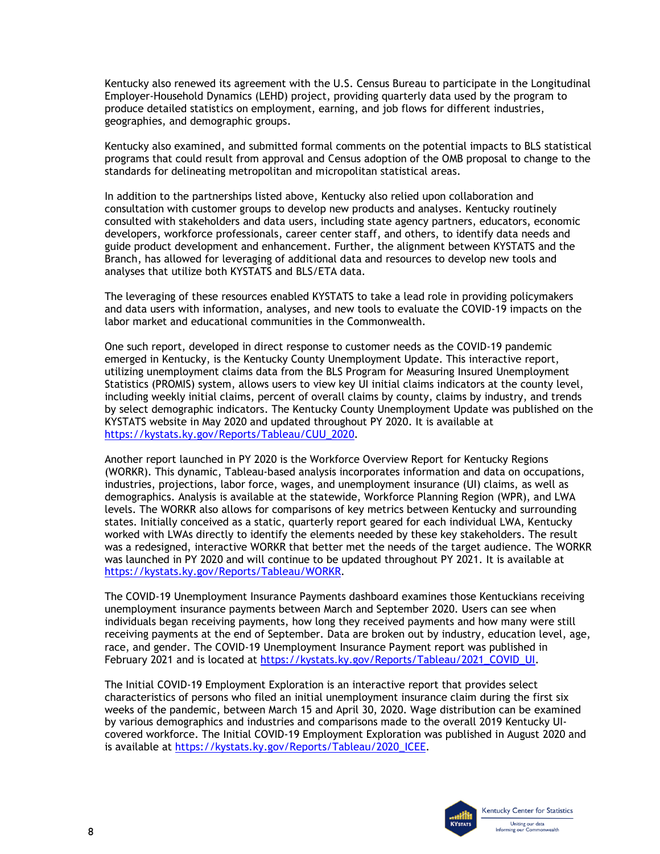Kentucky also renewed its agreement with the U.S. Census Bureau to participate in the Longitudinal Employer-Household Dynamics (LEHD) project, providing quarterly data used by the program to produce detailed statistics on employment, earning, and job flows for different industries, geographies, and demographic groups.

 Kentucky also examined, and submitted formal comments on the potential impacts to BLS statistical programs that could result from approval and Census adoption of the OMB proposal to change to the standards for delineating metropolitan and micropolitan statistical areas.

 consultation with customer groups to develop new products and analyses. Kentucky routinely In addition to the partnerships listed above, Kentucky also relied upon collaboration and consulted with stakeholders and data users, including state agency partners, educators, economic developers, workforce professionals, career center staff, and others, to identify data needs and guide product development and enhancement. Further, the alignment between KYSTATS and the Branch, has allowed for leveraging of additional data and resources to develop new tools and analyses that utilize both KYSTATS and BLS/ETA data.

 and data users with information, analyses, and new tools to evaluate the COVID-19 impacts on the The leveraging of these resources enabled KYSTATS to take a lead role in providing policymakers labor market and educational communities in the Commonwealth.

 utilizing unemployment claims data from the BLS Program for Measuring Insured Unemployment Statistics (PROMIS) system, allows users to view key UI initial claims indicators at the county level, One such report, developed in direct response to customer needs as the COVID-19 pandemic emerged in Kentucky, is the Kentucky County Unemployment Update. This interactive report, including weekly initial claims, percent of overall claims by county, claims by industry, and trends by select demographic indicators. The Kentucky County Unemployment Update was published on the KYSTATS website in May 2020 and updated throughout PY 2020. It is available at [https://kystats.ky.gov/Reports/Tableau/CUU\\_2020.](https://kystats.ky.gov/Reports/Tableau/CUU_2020)

 Another report launched in PY 2020 is the Workforce Overview Report for Kentucky Regions (WORKR). This dynamic, Tableau-based analysis incorporates information and data on occupations, industries, projections, labor force, wages, and unemployment insurance (UI) claims, as well as demographics. Analysis is available at the statewide, Workforce Planning Region (WPR), and LWA levels. The WORKR also allows for comparisons of key metrics between Kentucky and surrounding states. Initially conceived as a static, quarterly report geared for each individual LWA, Kentucky worked with LWAs directly to identify the elements needed by these key stakeholders. The result was a redesigned, interactive WORKR that better met the needs of the target audience. The WORKR was launched in PY 2020 and will continue to be updated throughout PY 2021. It is available at [https://kystats.ky.gov/Reports/Tableau/WORKR.](https://kystats.ky.gov/Reports/Tableau/WORKR)

 unemployment insurance payments between March and September 2020. Users can see when The COVID-19 Unemployment Insurance Payments dashboard examines those Kentuckians receiving individuals began receiving payments, how long they received payments and how many were still receiving payments at the end of September. Data are broken out by industry, education level, age, race, and gender. The COVID-19 Unemployment Insurance Payment report was published in February 2021 and is located at [https://kystats.ky.gov/Reports/Tableau/2021\\_COVID\\_UI.](https://kystats.ky.gov/Reports/Tableau/2021_COVID_UI)

 characteristics of persons who filed an initial unemployment insurance claim during the first six The Initial COVID-19 Employment Exploration is an interactive report that provides select weeks of the pandemic, between March 15 and April 30, 2020. Wage distribution can be examined by various demographics and industries and comparisons made to the overall 2019 Kentucky UIcovered workforce. The Initial COVID-19 Employment Exploration was published in August 2020 and is available at [https://kystats.ky.gov/Reports/Tableau/2020\\_ICEE.](https://kystats.ky.gov/Reports/Tableau/2020_ICEE)

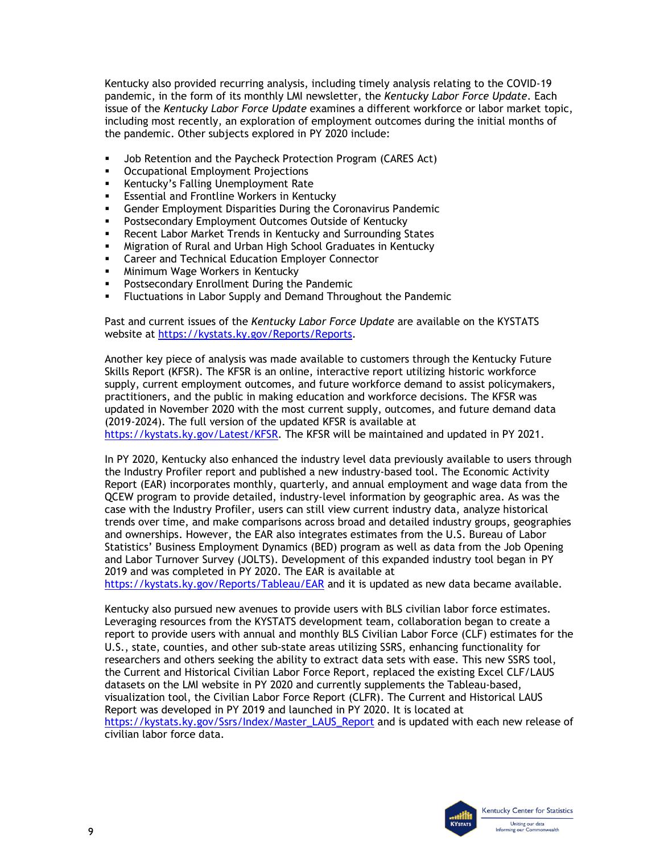the pandemic. Other subjects explored in PY 2020 include: Kentucky also provided recurring analysis, including timely analysis relating to the COVID-19 pandemic, in the form of its monthly LMI newsletter, the *Kentucky Labor Force Update*. Each issue of the *Kentucky Labor Force Update* examines a different workforce or labor market topic, including most recently, an exploration of employment outcomes during the initial months of

- Job Retention and the Paycheck Protection Program (CARES Act)
- **•** Occupational Employment Projections
- **Kentucky's Falling Unemployment Rate**
- **Essential and Frontline Workers in Kentucky**
- Gender Employment Disparities During the Coronavirus Pandemic
- Postsecondary Employment Outcomes Outside of Kentucky
- Recent Labor Market Trends in Kentucky and Surrounding States
- Migration of Rural and Urban High School Graduates in Kentucky
- Career and Technical Education Employer Connector
- **Minimum Wage Workers in Kentucky**
- **Postsecondary Enrollment During the Pandemic**
- Fluctuations in Labor Supply and Demand Throughout the Pandemic

Past and current issues of the *Kentucky Labor Force Update* are available on the KYSTATS website at [https://kystats.ky.gov/Reports/Reports.](https://kystats.ky.gov/Reports/Reports)

 updated in November 2020 with the most current supply, outcomes, and future demand data [https://kystats.ky.gov/Latest/KFSR.](https://kystats.ky.gov/Latest/KFSR) The KFSR will be maintained and updated in PY 2021. Another key piece of analysis was made available to customers through the Kentucky Future Skills Report (KFSR). The KFSR is an online, interactive report utilizing historic workforce supply, current employment outcomes, and future workforce demand to assist policymakers, practitioners, and the public in making education and workforce decisions. The KFSR was (2019-2024). The full version of the updated KFSR is available at

 the Industry Profiler report and published a new industry-based tool. The Economic Activity and ownerships. However, the EAR also integrates estimates from the U.S. Bureau of Labor In PY 2020, Kentucky also enhanced the industry level data previously available to users through Report (EAR) incorporates monthly, quarterly, and annual employment and wage data from the QCEW program to provide detailed, industry-level information by geographic area. As was the case with the Industry Profiler, users can still view current industry data, analyze historical trends over time, and make comparisons across broad and detailed industry groups, geographies Statistics' Business Employment Dynamics (BED) program as well as data from the Job Opening and Labor Turnover Survey (JOLTS). Development of this expanded industry tool began in PY 2019 and was completed in PY 2020. The EAR is available at

<https://kystats.ky.gov/Reports/Tableau/EAR>and it is updated as new data became available.

 Leveraging resources from the KYSTATS development team, collaboration began to create a U.S., state, counties, and other sub-state areas utilizing SSRS, enhancing functionality for the Current and Historical Civilian Labor Force Report, replaced the existing Excel CLF/LAUS Report was developed in PY 2019 and launched in PY 2020. It is located at Kentucky also pursued new avenues to provide users with BLS civilian labor force estimates. report to provide users with annual and monthly BLS Civilian Labor Force (CLF) estimates for the researchers and others seeking the ability to extract data sets with ease. This new SSRS tool, datasets on the LMI website in PY 2020 and currently supplements the Tableau-based, visualization tool, the Civilian Labor Force Report (CLFR). The Current and Historical LAUS [https://kystats.ky.gov/Ssrs/Index/Master\\_LAUS\\_Report](https://kystats.ky.gov/Ssrs/Index/Master_LAUS_Report) and is updated with each new release of civilian labor force data.

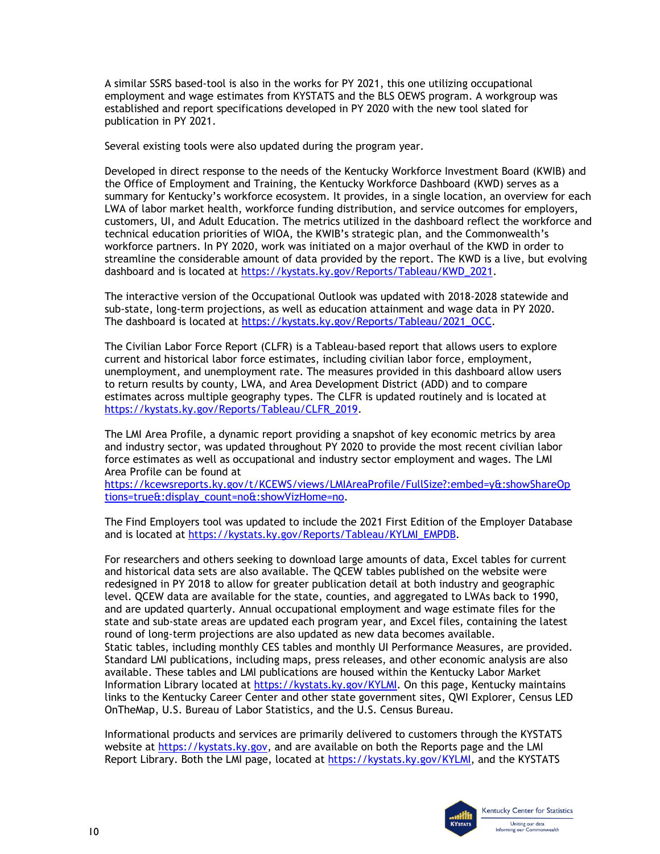A similar SSRS based-tool is also in the works for PY 2021, this one utilizing occupational employment and wage estimates from KYSTATS and the BLS OEWS program. A workgroup was established and report specifications developed in PY 2020 with the new tool slated for publication in PY 2021.

Several existing tools were also updated during the program year.

 Developed in direct response to the needs of the Kentucky Workforce Investment Board (KWIB) and summary for Kentucky's workforce ecosystem. It provides, in a single location, an overview for each the Office of Employment and Training, the Kentucky Workforce Dashboard (KWD) serves as a LWA of labor market health, workforce funding distribution, and service outcomes for employers, customers, UI, and Adult Education. The metrics utilized in the dashboard reflect the workforce and technical education priorities of WIOA, the KWIB's strategic plan, and the Commonwealth's workforce partners. In PY 2020, work was initiated on a major overhaul of the KWD in order to streamline the considerable amount of data provided by the report. The KWD is a live, but evolving dashboard and is located at [https://kystats.ky.gov/Reports/Tableau/KWD\\_2021.](https://kystats.ky.gov/Reports/Tableau/KWD_2021)

The interactive version of the Occupational Outlook was updated with 2018-2028 statewide and sub-state, long-term projections, as well as education attainment and wage data in PY 2020. The dashboard is located at [https://kystats.ky.gov/Reports/Tableau/2021\\_OCC.](https://kystats.ky.gov/Reports/Tableau/2021_OCC)

The Civilian Labor Force Report (CLFR) is a Tableau-based report that allows users to explore current and historical labor force estimates, including civilian labor force, employment, unemployment, and unemployment rate. The measures provided in this dashboard allow users to return results by county, LWA, and Area Development District (ADD) and to compare estimates across multiple geography types. The CLFR is updated routinely and is located at [https://kystats.ky.gov/Reports/Tableau/CLFR\\_2019.](https://kystats.ky.gov/Reports/Tableau/CLFR_2019)

 and industry sector, was updated throughout PY 2020 to provide the most recent civilian labor The LMI Area Profile, a dynamic report providing a snapshot of key economic metrics by area force estimates as well as occupational and industry sector employment and wages. The LMI Area Profile can be found at

[https://kcewsreports.ky.gov/t/KCEWS/views/LMIAreaProfile/FullSize?:embed=y&:showShareOp](https://kcewsreports.ky.gov/t/KCEWS/views/LMIAreaProfile/FullSize?:embed=y&:showShareOptions=true&:display_count=no&:showVizHome=no)  [tions=true&:display\\_count=no&:showVizHome=no.](https://kcewsreports.ky.gov/t/KCEWS/views/LMIAreaProfile/FullSize?:embed=y&:showShareOptions=true&:display_count=no&:showVizHome=no)

 The Find Employers tool was updated to include the 2021 First Edition of the Employer Database and is located at [https://kystats.ky.gov/Reports/Tableau/KYLMI\\_EMPDB.](https://kystats.ky.gov/Reports/Tableau/KYLMI_EMPDB)

 level. QCEW data are available for the state, counties, and aggregated to LWAs back to 1990, state and sub-state areas are updated each program year, and Excel files, containing the latest For researchers and others seeking to download large amounts of data, Excel tables for current and historical data sets are also available. The QCEW tables published on the website were redesigned in PY 2018 to allow for greater publication detail at both industry and geographic and are updated quarterly. Annual occupational employment and wage estimate files for the round of long-term projections are also updated as new data becomes available. Static tables, including monthly CES tables and monthly UI Performance Measures, are provided. Standard LMI publications, including maps, press releases, and other economic analysis are also available. These tables and LMI publications are housed within the Kentucky Labor Market Information Library located at [https://kystats.ky.gov/KYLMI.](https://kcews.ky.gov/KYLMI) On this page, Kentucky maintains links to the Kentucky Career Center and other state government sites, QWI Explorer, Census LED OnTheMap, U.S. Bureau of Labor Statistics, and the U.S. Census Bureau.

Informational products and services are primarily delivered to customers through the KYSTATS website at [https://kystats.ky.gov,](https://kystats.ky.gov/) and are available on both the Reports page and the LMI Report Library. Both the LMI page, located at [https://kystats.ky.gov/KYLMI,](https://kystats.ky.gov/KYLMI) and the KYSTATS

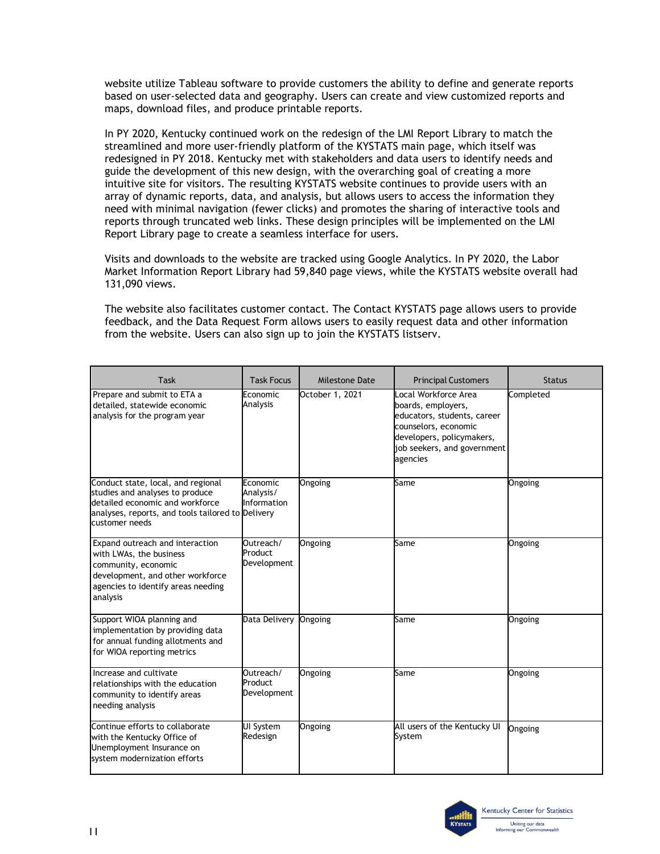website utilize Tableau software to provide customers the ability to define and generate reports based on user-selected data and geography. Users can create and view customized reports and maps, download files, and produce printable reports.

 intuitive site for visitors. The resulting KYSTATS website continues to provide users with an In PY 2020, Kentucky continued work on the redesign of the LMI Report Library to match the streamlined and more user-friendly platform of the KYSTATS main page, which itself was redesigned in PY 2018. Kentucky met with stakeholders and data users to identify needs and guide the development of this new design, with the overarching goal of creating a more array of dynamic reports, data, and analysis, but allows users to access the information they need with minimal navigation (fewer clicks) and promotes the sharing of interactive tools and reports through truncated web links. These design principles will be implemented on the LMI Report Library page to create a seamless interface for users.

 131,090 views. Visits and downloads to the website are tracked using Google Analytics. In PY 2020, the Labor Market Information Report Library had 59,840 page views, while the KYSTATS website overall had

 from the website. Users can also sign up to join the KYSTATS listserv. The website also facilitates customer contact. The Contact KYSTATS page allows users to provide feedback, and the Data Request Form allows users to easily request data and other information

| Task                                                                                                                                                                            | <b>Task Focus</b>                    | Milestone Date  | <b>Principal Customers</b>                                                                                                                                                | <b>Status</b> |
|---------------------------------------------------------------------------------------------------------------------------------------------------------------------------------|--------------------------------------|-----------------|---------------------------------------------------------------------------------------------------------------------------------------------------------------------------|---------------|
| Prepare and submit to ETA a<br>detailed, statewide economic<br>analysis for the program year                                                                                    | Economic<br>Analysis                 | October 1, 2021 | Local Workforce Area<br>boards, employers,<br>educators, students, career<br>counselors, economic<br>developers, policymakers,<br>job seekers, and government<br>agencies | Completed     |
| Conduct state, local, and regional<br>studies and analyses to produce<br>detailed economic and workforce<br>analyses, reports, and tools tailored to Delivery<br>customer needs | Economic<br>Analysis/<br>Information | <b>Ongoing</b>  | Same                                                                                                                                                                      | Ongoing       |
| Expand outreach and interaction<br>with LWAs, the business<br>community, economic<br>development, and other workforce<br>agencies to identify areas needing<br>analysis         | Outreach/<br>Product<br>Development  | Ongoing         | Same                                                                                                                                                                      | Ongoing       |
| Support WIOA planning and<br>implementation by providing data<br>for annual funding allotments and<br>for WIOA reporting metrics                                                | Data Delivery                        | Ongoing         | Same                                                                                                                                                                      | Ongoing       |
| Increase and cultivate<br>relationships with the education<br>community to identify areas<br>needing analysis                                                                   | Outreach/<br>Product<br>Development  | Ongoing         | Same                                                                                                                                                                      | Ongoing       |
| Continue efforts to collaborate<br>with the Kentucky Office of<br>Unemployment Insurance on<br>system modernization efforts                                                     | UI System<br>Redesign                | Ongoing         | All users of the Kentucky UI<br>System                                                                                                                                    | Ongoing       |

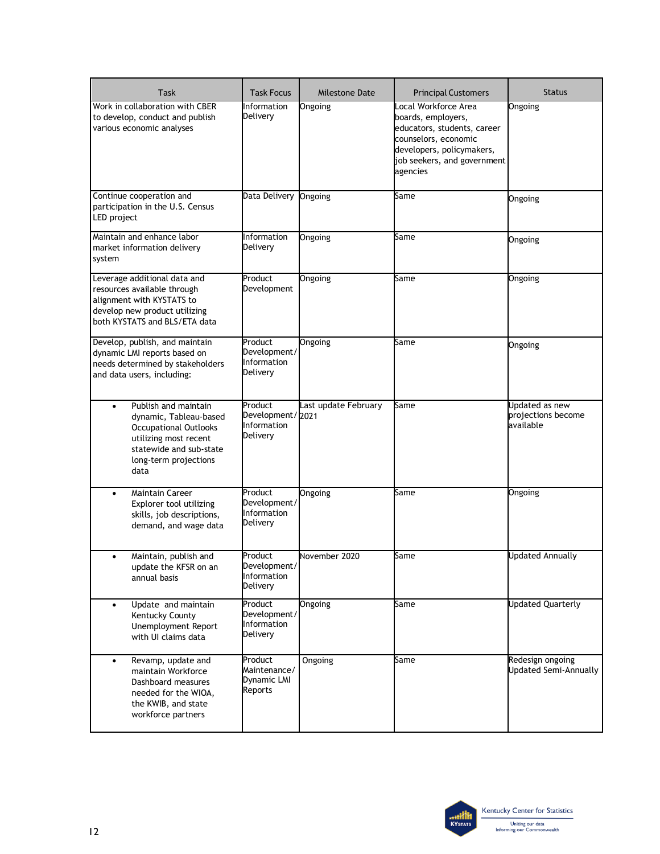| <b>Task</b>                                                                                                                                                                      | <b>Task Focus</b>                                             | <b>Milestone Date</b> | <b>Principal Customers</b>                                                                                                                                                | <b>Status</b>                                     |
|----------------------------------------------------------------------------------------------------------------------------------------------------------------------------------|---------------------------------------------------------------|-----------------------|---------------------------------------------------------------------------------------------------------------------------------------------------------------------------|---------------------------------------------------|
| Work in collaboration with CBER<br>to develop, conduct and publish<br>various economic analyses                                                                                  | Information<br>Delivery                                       | Ongoing               | Local Workforce Area<br>boards, employers,<br>educators, students, career<br>counselors, economic<br>developers, policymakers,<br>job seekers, and government<br>agencies | Ongoing                                           |
| Continue cooperation and<br>participation in the U.S. Census<br>LED project                                                                                                      | Data Delivery                                                 | <b>Ongoing</b>        | Same                                                                                                                                                                      | Ongoing                                           |
| Maintain and enhance labor<br>market information delivery<br>system                                                                                                              | Information<br>Delivery                                       | Ongoing               | Same                                                                                                                                                                      | Ongoing                                           |
| Leverage additional data and<br>resources available through<br>alignment with KYSTATS to<br>develop new product utilizing<br>both KYSTATS and BLS/ETA data                       | Product<br>Development                                        | Ongoing               | Same                                                                                                                                                                      | Ongoing                                           |
| Develop, publish, and maintain<br>dynamic LMI reports based on<br>needs determined by stakeholders<br>and data users, including:                                                 | Product<br>Development/<br>Information<br>Delivery            | Ongoing               | Same                                                                                                                                                                      | Ongoing                                           |
| Publish and maintain<br>$\bullet$<br>dynamic, Tableau-based<br><b>Occupational Outlooks</b><br>utilizing most recent<br>statewide and sub-state<br>long-term projections<br>data | Product<br>Development/2021<br><b>Information</b><br>Delivery | Last update February  | Same                                                                                                                                                                      | Updated as new<br>projections become<br>available |
| <b>Maintain Career</b><br>$\bullet$<br>Explorer tool utilizing<br>skills, job descriptions,<br>demand, and wage data                                                             | Product<br>Development/<br>Information<br>Delivery            | Ongoing               | Same                                                                                                                                                                      | Ongoing                                           |
| Maintain, publish and<br>$\bullet$<br>update the KFSR on an<br>annual basis                                                                                                      | Product<br>Development/<br>Information<br>Delivery            | November 2020         | Same                                                                                                                                                                      | <b>Updated Annually</b>                           |
| Update and maintain<br>$\bullet$<br>Kentucky County<br>Unemployment Report<br>with UI claims data                                                                                | Product<br>Development/<br>Information<br>Delivery            | Ongoing               | Same                                                                                                                                                                      | <b>Updated Quarterly</b>                          |
| Revamp, update and<br>$\bullet$<br>maintain Workforce<br>Dashboard measures<br>needed for the WIOA,<br>the KWIB, and state<br>workforce partners                                 | Product<br>Maintenance/<br>Dynamic LMI<br>Reports             | Ongoing               | Same                                                                                                                                                                      | Redesign ongoing<br><b>Updated Semi-Annually</b>  |

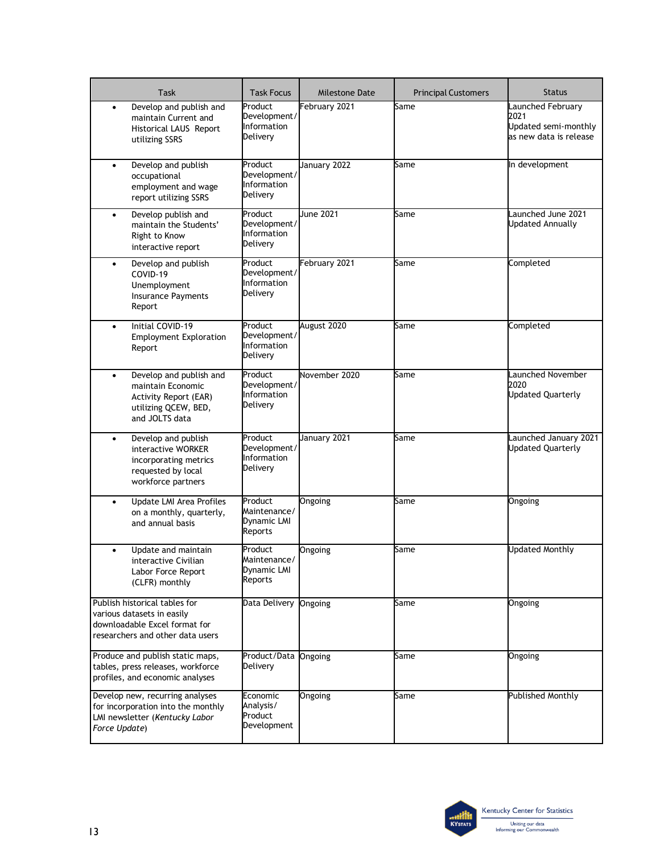| <b>Task</b>                                                                                                                         | <b>Task Focus</b>                                  | <b>Milestone Date</b> | <b>Principal Customers</b> | <b>Status</b>                                                               |
|-------------------------------------------------------------------------------------------------------------------------------------|----------------------------------------------------|-----------------------|----------------------------|-----------------------------------------------------------------------------|
| Develop and publish and<br>$\bullet$<br>maintain Current and<br>Historical LAUS Report<br>utilizing SSRS                            | Product<br>Development/<br>Information<br>Delivery | February 2021         | Same                       | Launched February<br>2021<br>Updated semi-monthly<br>as new data is release |
| Develop and publish<br>$\bullet$<br>occupational<br>employment and wage<br>report utilizing SSRS                                    | Product<br>Development/<br>Information<br>Delivery | January 2022          | Same                       | In development                                                              |
| Develop publish and<br>$\bullet$<br>maintain the Students'<br>Right to Know<br>interactive report                                   | Product<br>Development/<br>Information<br>Delivery | June 2021             | Same                       | Launched June 2021<br><b>Updated Annually</b>                               |
| Develop and publish<br>$\bullet$<br>COVID-19<br>Unemployment<br><b>Insurance Payments</b><br>Report                                 | Product<br>Development/<br>Information<br>Delivery | February 2021         | Same                       | Completed                                                                   |
| Initial COVID-19<br>$\bullet$<br><b>Employment Exploration</b><br>Report                                                            | Product<br>Development/<br>Information<br>Delivery | August 2020           | Same                       | Completed                                                                   |
| Develop and publish and<br>$\bullet$<br>maintain Economic<br><b>Activity Report (EAR)</b><br>utilizing QCEW, BED,<br>and JOLTS data | Product<br>Development/<br>Information<br>Delivery | November 2020         | Same                       | Launched November<br>2020<br><b>Updated Quarterly</b>                       |
| Develop and publish<br>$\bullet$<br>interactive WORKER<br>incorporating metrics<br>requested by local<br>workforce partners         | Product<br>Development/<br>Information<br>Delivery | January 2021          | Same                       | Launched January 2021<br><b>Updated Quarterly</b>                           |
| Update LMI Area Profiles<br>$\bullet$<br>on a monthly, quarterly,<br>and annual basis                                               | Product<br>Maintenance/<br>Dynamic LMI<br>Reports  | Ongoing               | Same                       | Ongoing                                                                     |
| Update and maintain<br>٠<br>interactive Civilian<br>Labor Force Report<br>(CLFR) monthly                                            | Product<br>Maintenance/<br>Dynamic LMI<br>Reports  | Ongoing               | Same                       | <b>Updated Monthly</b>                                                      |
| Publish historical tables for<br>various datasets in easily<br>downloadable Excel format for<br>researchers and other data users    | Data Delivery                                      | Ongoing               | Same                       | Ongoing                                                                     |
| Produce and publish static maps,<br>tables, press releases, workforce<br>profiles, and economic analyses                            | Product/Data<br>Delivery                           | Ongoing               | Same                       | Ongoing                                                                     |
| Develop new, recurring analyses<br>for incorporation into the monthly<br>LMI newsletter (Kentucky Labor<br>Force Update)            | Economic<br>Analysis/<br>Product<br>Development    | Ongoing               | Same                       | <b>Published Monthly</b>                                                    |

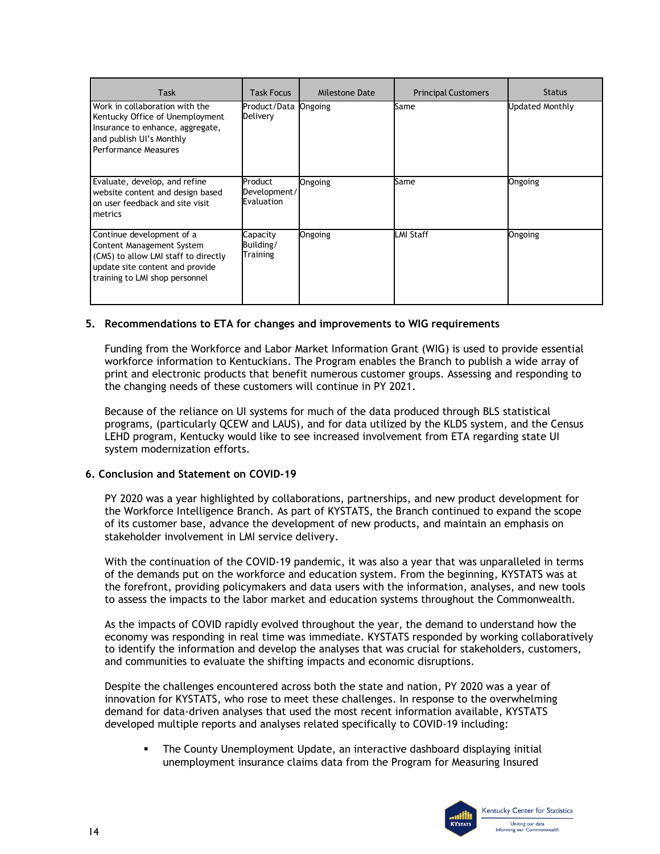| <b>Task</b>                                                                                                                                                         | <b>Task Focus</b>                     | Milestone Date | <b>Principal Customers</b> | <b>Status</b>   |
|---------------------------------------------------------------------------------------------------------------------------------------------------------------------|---------------------------------------|----------------|----------------------------|-----------------|
| Work in collaboration with the<br>Kentucky Office of Unemployment<br>Insurance to enhance, aggregate,<br>and publish UI's Monthly<br>Performance Measures           | Product/Data Ongoing<br>Delivery      |                | Same                       | Updated Monthly |
| Evaluate, develop, and refine<br>website content and design based<br>on user feedback and site visit<br>metrics                                                     | Product<br>Development/<br>Evaluation | Ongoing        | Same                       | Ongoing         |
| Continue development of a<br>Content Management System<br>(CMS) to allow LMI staff to directly<br>update site content and provide<br>training to LMI shop personnel | Capacity<br>Building/<br>Training     | Ongoing        | <b>LMI Staff</b>           | Ongoing         |

#### **5. Recommendations to ETA for changes and improvements to WIG requirements**

 print and electronic products that benefit numerous customer groups. Assessing and responding to the changing needs of these customers will continue in PY 2021. Funding from the Workforce and Labor Market Information Grant (WIG) is used to provide essential workforce information to Kentuckians. The Program enables the Branch to publish a wide array of

 Because of the reliance on UI systems for much of the data produced through BLS statistical LEHD program, Kentucky would like to see increased involvement from ETA regarding state UI programs, (particularly QCEW and LAUS), and for data utilized by the KLDS system, and the Census system modernization efforts.

#### **6. Conclusion and Statement on COVID-19**

stakeholder involvement in LMI service delivery. PY 2020 was a year highlighted by collaborations, partnerships, and new product development for the Workforce Intelligence Branch. As part of KYSTATS, the Branch continued to expand the scope of its customer base, advance the development of new products, and maintain an emphasis on

 of the demands put on the workforce and education system. From the beginning, KYSTATS was at With the continuation of the COVID-19 pandemic, it was also a year that was unparalleled in terms the forefront, providing policymakers and data users with the information, analyses, and new tools to assess the impacts to the labor market and education systems throughout the Commonwealth.

 As the impacts of COVID rapidly evolved throughout the year, the demand to understand how the to identify the information and develop the analyses that was crucial for stakeholders, customers, economy was responding in real time was immediate. KYSTATS responded by working collaboratively and communities to evaluate the shifting impacts and economic disruptions.

 Despite the challenges encountered across both the state and nation, PY 2020 was a year of innovation for KYSTATS, who rose to meet these challenges. In response to the overwhelming demand for data-driven analyses that used the most recent information available, KYSTATS developed multiple reports and analyses related specifically to COVID-19 including:

 The County Unemployment Update, an interactive dashboard displaying initial unemployment insurance claims data from the Program for Measuring Insured